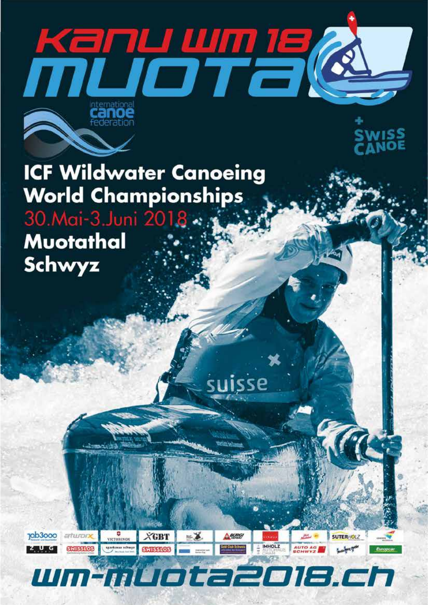

suisse

Asung

**Sold Club Schweiz** 

**IMHOLZ** 

 $= 1$ 

**ICF Wildwater Canoeing World Championships** 30. Mai-3. Juni 2018 . . . Muotathal Schwyz

**SWISSLOS** 

**10b3000** 

**EZULUKCI** 

*<u><i><u></u> <i><u>*</u></u>

*<i>Alpenblick BXL 6330 Cham +41 77 503 45 98 info@wm-muota2018.ch www.wm-muota2018.ch*

 *Kanu-WM Muota 2018*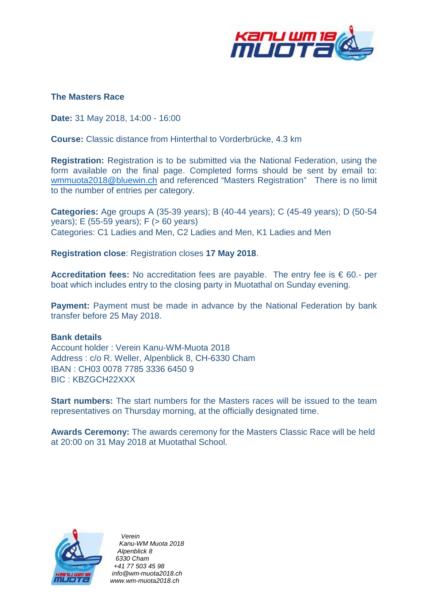

### **The Masters Race**

**Date:** 31 May 2018, 14:00 - 16:00

**Course:** Classic distance from Hinterthal to Vorderbrücke, 4.3 km

**Registration:** Registration is to be submitted via the National Federation, using the form available on the final page. Completed forms should be sent by email to: [wmmuota2018@bluewin.ch](mailto:wmmuota2018@bluewin.ch) and referenced "Masters Registration" There is no limit to the number of entries per category.

**Categories:** Age groups A (35-39 years); B (40-44 years); C (45-49 years); D (50-54 years); E (55-59 years); F (> 60 years) Categories: C1 Ladies and Men, C2 Ladies and Men, K1 Ladies and Men

**Registration close**: Registration closes **17 May 2018**.

**Accreditation fees:** No accreditation fees are payable. The entry fee is € 60.- per boat which includes entry to the closing party in Muotathal on Sunday evening.

**Payment:** Payment must be made in advance by the National Federation by bank transfer before 25 May 2018.

### **Bank details**

Account holder : Verein Kanu-WM-Muota 2018 Address : c/o R. Weller, Alpenblick 8, CH-6330 Cham IBAN : CH03 0078 7785 3336 6450 9 BIC : KBZGCH22XXX

**Start numbers:** The start numbers for the Masters races will be issued to the team representatives on Thursday morning, at the officially designated time.

**Awards Ceremony:** The awards ceremony for the Masters Classic Race will be held at 20:00 on 31 May 2018 at Muotathal School.



 *Verein Kanu-WM Muota 2018 Alpenblick 8 6330 Cham +41 77 503 45 98 info@wm-muota2018.ch www.wm-muota2018.ch*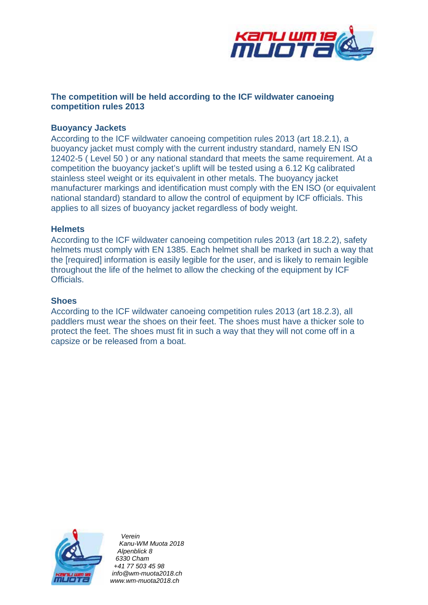

## **The competition will be held according to the ICF wildwater canoeing competition rules 2013**

### **Buoyancy Jackets**

According to the ICF wildwater canoeing competition rules 2013 (art 18.2.1), a buoyancy jacket must comply with the current industry standard, namely EN ISO 12402-5 ( Level 50 ) or any national standard that meets the same requirement. At a competition the buoyancy jacket's uplift will be tested using a 6.12 Kg calibrated stainless steel weight or its equivalent in other metals. The buoyancy jacket manufacturer markings and identification must comply with the EN ISO (or equivalent national standard) standard to allow the control of equipment by ICF officials. This applies to all sizes of buoyancy jacket regardless of body weight.

#### **Helmets**

According to the ICF wildwater canoeing competition rules 2013 (art 18.2.2), safety helmets must comply with EN 1385. Each helmet shall be marked in such a way that the [required] information is easily legible for the user, and is likely to remain legible throughout the life of the helmet to allow the checking of the equipment by ICF Officials.

#### **Shoes**

According to the ICF wildwater canoeing competition rules 2013 (art 18.2.3), all paddlers must wear the shoes on their feet. The shoes must have a thicker sole to protect the feet. The shoes must fit in such a way that they will not come off in a capsize or be released from a boat.



 *Verein Kanu-WM Muota 2018 Alpenblick 8 6330 Cham +41 77 503 45 98 info@wm-muota2018.ch www.wm-muota2018.ch*